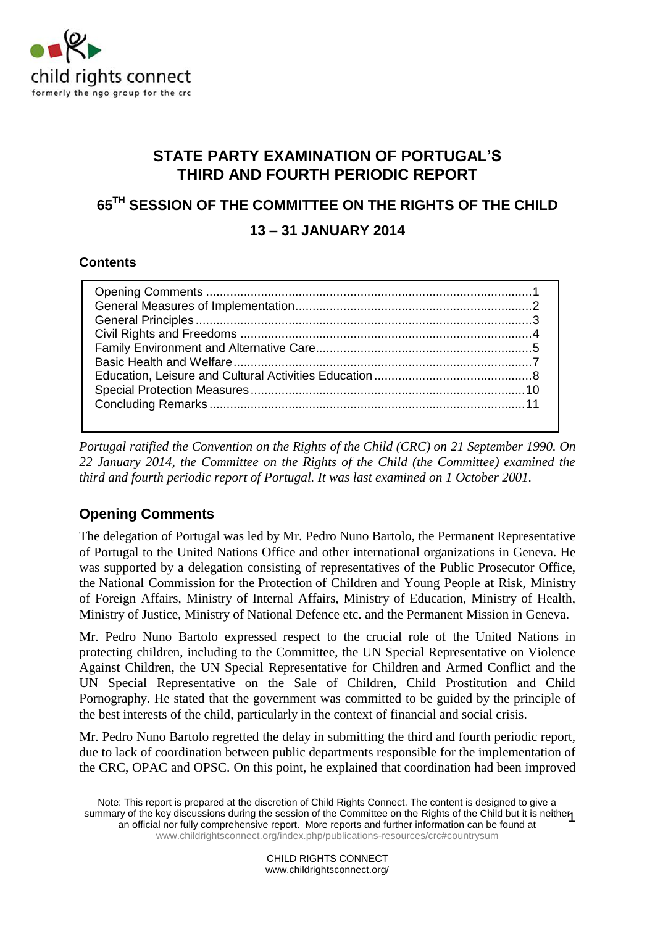

# **STATE PARTY EXAMINATION OF PORTUGAL'S THIRD AND FOURTH PERIODIC REPORT**

# **65TH SESSION OF THE COMMITTEE ON THE RIGHTS OF THE CHILD 13 – 31 JANUARY 2014**

## **Contents**

*Portugal ratified the Convention on the Rights of the Child (CRC) on 21 September 1990. On 22 January 2014, the Committee on the Rights of the Child (the Committee) examined the third and fourth periodic report of Portugal. It was last examined on 1 October 2001.*

# <span id="page-0-0"></span>**Opening Comments**

The delegation of Portugal was led by Mr. Pedro Nuno Bartolo, the Permanent Representative of Portugal to the United Nations Office and other international organizations in Geneva. He was supported by a delegation consisting of representatives of the Public Prosecutor Office, the National Commission for the Protection of Children and Young People at Risk, Ministry of Foreign Affairs, Ministry of Internal Affairs, Ministry of Education, Ministry of Health, Ministry of Justice, Ministry of National Defence etc. and the Permanent Mission in Geneva.

Mr. Pedro Nuno Bartolo expressed respect to the crucial role of the United Nations in protecting children, including to the Committee, the UN Special Representative on Violence Against Children, the UN Special Representative for Children and Armed Conflict and the UN Special Representative on the Sale of Children, Child Prostitution and Child Pornography. He stated that the government was committed to be guided by the principle of the best interests of the child, particularly in the context of financial and social crisis.

Mr. Pedro Nuno Bartolo regretted the delay in submitting the third and fourth periodic report, due to lack of coordination between public departments responsible for the implementation of the CRC, OPAC and OPSC. On this point, he explained that coordination had been improved

Note: This report is prepared at the discretion of Child Rights Connect. The content is designed to give a summary of the key discussions during the session of the Committee on the Rights of the Child but it is neither information can be found at an official nor fully comprehensive report. More reports and further information can be found at [www.childrightsconnect.org/index.php/publications-resources/crc#countrysum](http://www.childrightsconnect.org/index.php/publications-resources/crc#countrysum)

> CHILD RIGHTS CONNECT www.childrightsconnect.org/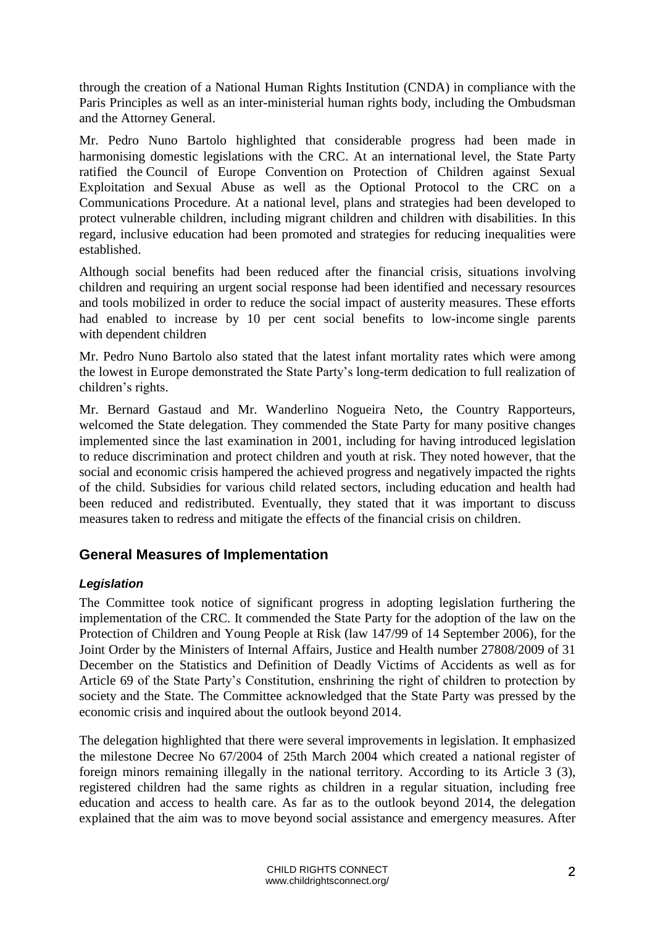through the creation of a National Human Rights Institution (CNDA) in compliance with the Paris Principles as well as an inter-ministerial human rights body, including the Ombudsman and the Attorney General.

Mr. Pedro Nuno Bartolo highlighted that considerable progress had been made in harmonising domestic legislations with the CRC. At an international level, the State Party ratified the Council of Europe Convention on Protection of Children against Sexual Exploitation and Sexual Abuse as well as the Optional Protocol to the CRC on a Communications Procedure. At a national level, plans and strategies had been developed to protect vulnerable children, including migrant children and children with disabilities. In this regard, inclusive education had been promoted and strategies for reducing inequalities were established.

Although social benefits had been reduced after the financial crisis, situations involving children and requiring an urgent social response had been identified and necessary resources and tools mobilized in order to reduce the social impact of austerity measures. These efforts had enabled to increase by 10 per cent social benefits to low-income single parents with dependent children

Mr. Pedro Nuno Bartolo also stated that the latest infant mortality rates which were among the lowest in Europe demonstrated the State Party's long-term dedication to full realization of children's rights.

Mr. Bernard Gastaud and Mr. Wanderlino Nogueira Neto, the Country Rapporteurs, welcomed the State delegation. They commended the State Party for many positive changes implemented since the last examination in 2001, including for having introduced legislation to reduce discrimination and protect children and youth at risk. They noted however, that the social and economic crisis hampered the achieved progress and negatively impacted the rights of the child. Subsidies for various child related sectors, including education and health had been reduced and redistributed. Eventually, they stated that it was important to discuss measures taken to redress and mitigate the effects of the financial crisis on children.

# <span id="page-1-0"></span>**General Measures of Implementation**

#### *Legislation*

The Committee took notice of significant progress in adopting legislation furthering the implementation of the CRC. It commended the State Party for the adoption of the law on the Protection of Children and Young People at Risk (law 147/99 of 14 September 2006), for the Joint Order by the Ministers of Internal Affairs, Justice and Health number 27808/2009 of 31 December on the Statistics and Definition of Deadly Victims of Accidents as well as for Article 69 of the State Party's Constitution, enshrining the right of children to protection by society and the State. The Committee acknowledged that the State Party was pressed by the economic crisis and inquired about the outlook beyond 2014.

The delegation highlighted that there were several improvements in legislation. It emphasized the milestone Decree No 67/2004 of 25th March 2004 which created a national register of foreign minors remaining illegally in the national territory. According to its Article 3 (3), registered children had the same rights as children in a regular situation, including free education and access to health care. As far as to the outlook beyond 2014, the delegation explained that the aim was to move beyond social assistance and emergency measures. After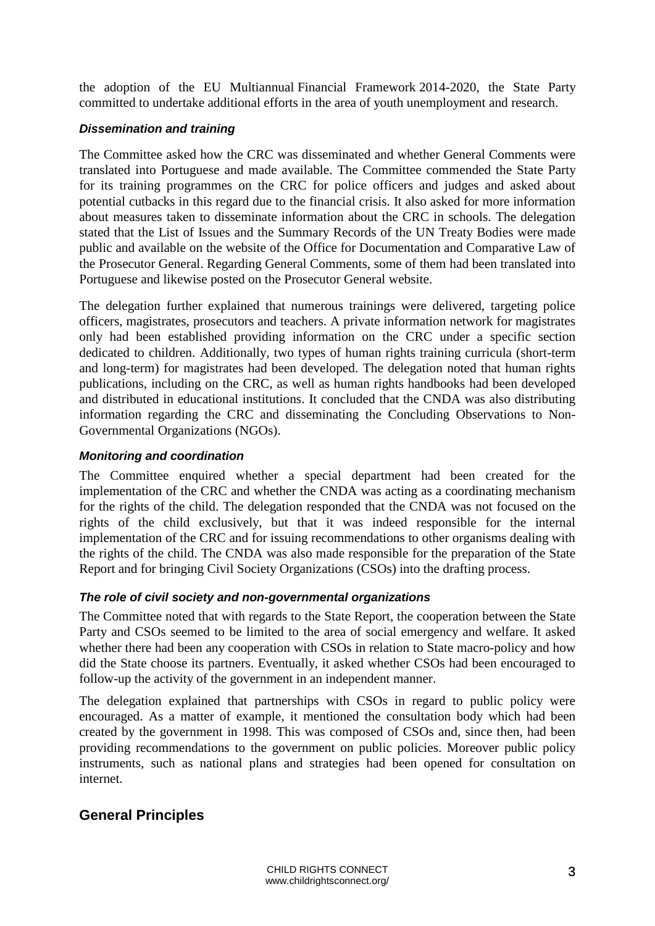the adoption of the EU Multiannual Financial Framework 2014-2020, the State Party committed to undertake additional efforts in the area of youth unemployment and research.

#### *Dissemination and training*

The Committee asked how the CRC was disseminated and whether General Comments were translated into Portuguese and made available. The Committee commended the State Party for its training programmes on the CRC for police officers and judges and asked about potential cutbacks in this regard due to the financial crisis. It also asked for more information about measures taken to disseminate information about the CRC in schools. The delegation stated that the List of Issues and the Summary Records of the UN Treaty Bodies were made public and available on the website of the Office for Documentation and Comparative Law of the Prosecutor General. Regarding General Comments, some of them had been translated into Portuguese and likewise posted on the Prosecutor General website.

The delegation further explained that numerous trainings were delivered, targeting police officers, magistrates, prosecutors and teachers. A private information network for magistrates only had been established providing information on the CRC under a specific section dedicated to children. Additionally, two types of human rights training curricula (short-term and long-term) for magistrates had been developed. The delegation noted that human rights publications, including on the CRC, as well as human rights handbooks had been developed and distributed in educational institutions. It concluded that the CNDA was also distributing information regarding the CRC and disseminating the Concluding Observations to Non-Governmental Organizations (NGOs).

#### *Monitoring and coordination*

The Committee enquired whether a special department had been created for the implementation of the CRC and whether the CNDA was acting as a coordinating mechanism for the rights of the child. The delegation responded that the CNDA was not focused on the rights of the child exclusively, but that it was indeed responsible for the internal implementation of the CRC and for issuing recommendations to other organisms dealing with the rights of the child. The CNDA was also made responsible for the preparation of the State Report and for bringing Civil Society Organizations (CSOs) into the drafting process.

#### *The role of civil society and non-governmental organizations*

The Committee noted that with regards to the State Report, the cooperation between the State Party and CSOs seemed to be limited to the area of social emergency and welfare. It asked whether there had been any cooperation with CSOs in relation to State macro-policy and how did the State choose its partners. Eventually, it asked whether CSOs had been encouraged to follow-up the activity of the government in an independent manner.

The delegation explained that partnerships with CSOs in regard to public policy were encouraged. As a matter of example, it mentioned the consultation body which had been created by the government in 1998. This was composed of CSOs and, since then, had been providing recommendations to the government on public policies. Moreover public policy instruments, such as national plans and strategies had been opened for consultation on internet.

## <span id="page-2-0"></span>**General Principles**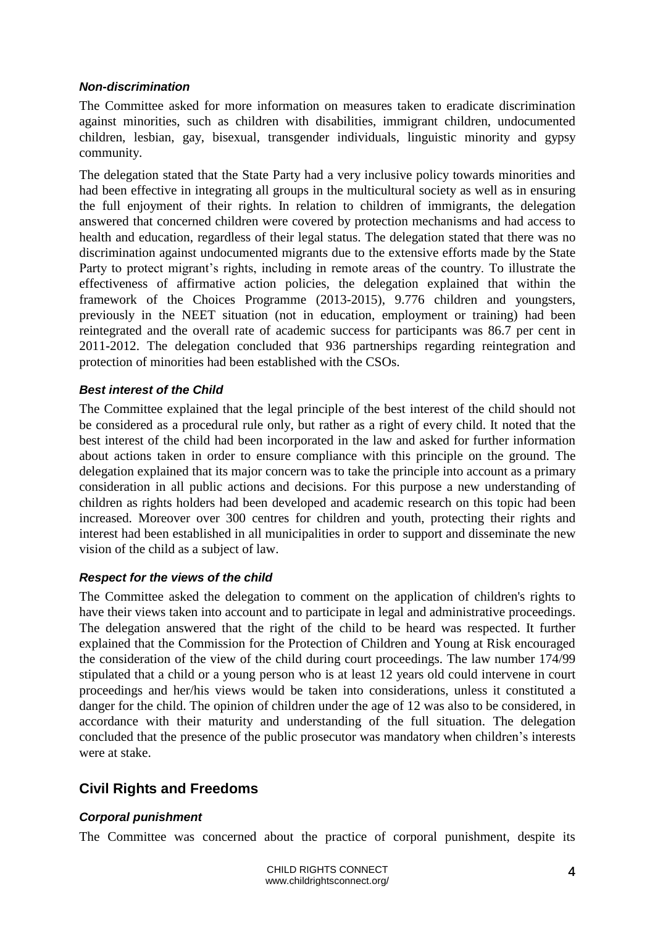#### *Non-discrimination*

The Committee asked for more information on measures taken to eradicate discrimination against minorities, such as children with disabilities, immigrant children, undocumented children, lesbian, gay, bisexual, transgender individuals, linguistic minority and gypsy community.

The delegation stated that the State Party had a very inclusive policy towards minorities and had been effective in integrating all groups in the multicultural society as well as in ensuring the full enjoyment of their rights. In relation to children of immigrants, the delegation answered that concerned children were covered by protection mechanisms and had access to health and education, regardless of their legal status. The delegation stated that there was no discrimination against undocumented migrants due to the extensive efforts made by the State Party to protect migrant's rights, including in remote areas of the country. To illustrate the effectiveness of affirmative action policies, the delegation explained that within the framework of the Choices Programme (2013-2015), 9.776 children and youngsters, previously in the NEET situation (not in education, employment or training) had been reintegrated and the overall rate of academic success for participants was 86.7 per cent in 2011-2012. The delegation concluded that 936 partnerships regarding reintegration and protection of minorities had been established with the CSOs.

#### *Best interest of the Child*

The Committee explained that the legal principle of the best interest of the child should not be considered as a procedural rule only, but rather as a right of every child. It noted that the best interest of the child had been incorporated in the law and asked for further information about actions taken in order to ensure compliance with this principle on the ground. The delegation explained that its major concern was to take the principle into account as a primary consideration in all public actions and decisions. For this purpose a new understanding of children as rights holders had been developed and academic research on this topic had been increased. Moreover over 300 centres for children and youth, protecting their rights and interest had been established in all municipalities in order to support and disseminate the new vision of the child as a subject of law.

#### *Respect for the views of the child*

The Committee asked the delegation to comment on the application of children's rights to have their views taken into account and to participate in legal and administrative proceedings. The delegation answered that the right of the child to be heard was respected. It further explained that the Commission for the Protection of Children and Young at Risk encouraged the consideration of the view of the child during court proceedings. The law number 174/99 stipulated that a child or a young person who is at least 12 years old could intervene in court proceedings and her/his views would be taken into considerations, unless it constituted a danger for the child. The opinion of children under the age of 12 was also to be considered, in accordance with their maturity and understanding of the full situation. The delegation concluded that the presence of the public prosecutor was mandatory when children's interests were at stake.

# <span id="page-3-0"></span>**Civil Rights and Freedoms**

#### *Corporal punishment*

The Committee was concerned about the practice of corporal punishment, despite its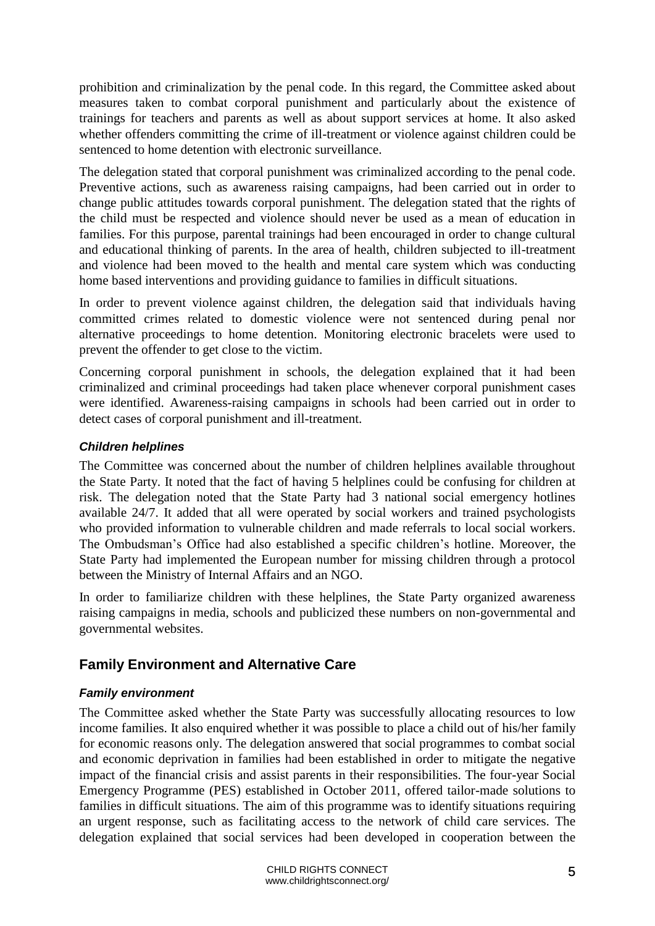prohibition and criminalization by the penal code. In this regard, the Committee asked about measures taken to combat corporal punishment and particularly about the existence of trainings for teachers and parents as well as about support services at home. It also asked whether offenders committing the crime of ill-treatment or violence against children could be sentenced to home detention with electronic surveillance.

The delegation stated that corporal punishment was criminalized according to the penal code. Preventive actions, such as awareness raising campaigns, had been carried out in order to change public attitudes towards corporal punishment. The delegation stated that the rights of the child must be respected and violence should never be used as a mean of education in families. For this purpose, parental trainings had been encouraged in order to change cultural and educational thinking of parents. In the area of health, children subjected to ill-treatment and violence had been moved to the health and mental care system which was conducting home based interventions and providing guidance to families in difficult situations.

In order to prevent violence against children, the delegation said that individuals having committed crimes related to domestic violence were not sentenced during penal nor alternative proceedings to home detention. Monitoring electronic bracelets were used to prevent the offender to get close to the victim.

Concerning corporal punishment in schools, the delegation explained that it had been criminalized and criminal proceedings had taken place whenever corporal punishment cases were identified. Awareness-raising campaigns in schools had been carried out in order to detect cases of corporal punishment and ill-treatment.

#### *Children helplines*

The Committee was concerned about the number of children helplines available throughout the State Party. It noted that the fact of having 5 helplines could be confusing for children at risk. The delegation noted that the State Party had 3 national social emergency hotlines available 24/7. It added that all were operated by social workers and trained psychologists who provided information to vulnerable children and made referrals to local social workers. The Ombudsman's Office had also established a specific children's hotline. Moreover, the State Party had implemented the European number for missing children through a protocol between the Ministry of Internal Affairs and an NGO.

<span id="page-4-0"></span>In order to familiarize children with these helplines, the State Party organized awareness raising campaigns in media, schools and publicized these numbers on non-governmental and governmental websites.

# **Family Environment and Alternative Care**

## *Family environment*

The Committee asked whether the State Party was successfully allocating resources to low income families. It also enquired whether it was possible to place a child out of his/her family for economic reasons only. The delegation answered that social programmes to combat social and economic deprivation in families had been established in order to mitigate the negative impact of the financial crisis and assist parents in their responsibilities. The four-year Social Emergency Programme (PES) established in October 2011, offered tailor-made solutions to families in difficult situations. The aim of this programme was to identify situations requiring an urgent response, such as facilitating access to the network of child care services. The delegation explained that social services had been developed in cooperation between the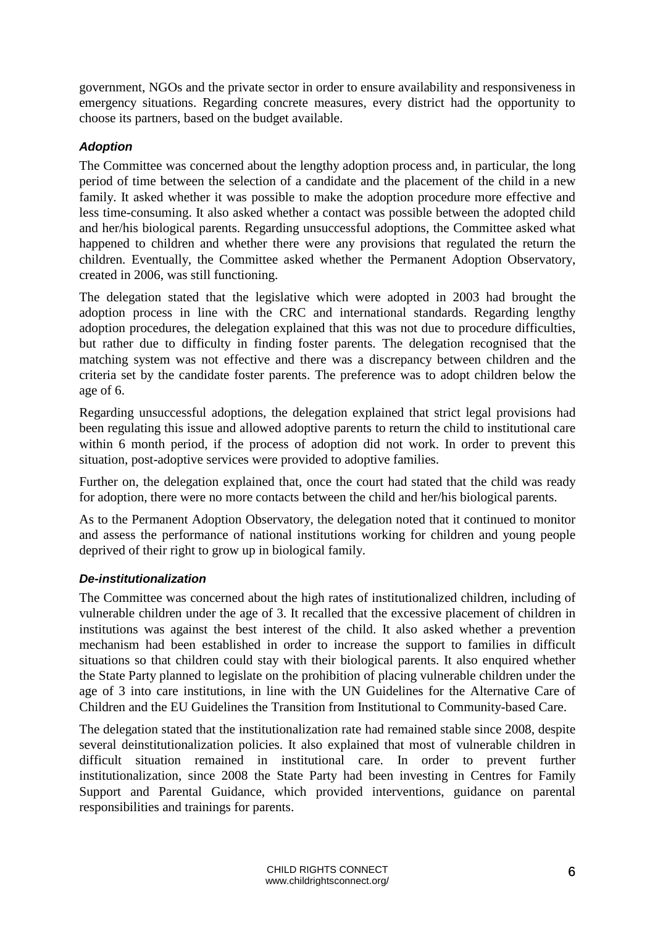government, NGOs and the private sector in order to ensure availability and responsiveness in emergency situations. Regarding concrete measures, every district had the opportunity to choose its partners, based on the budget available.

#### *Adoption*

The Committee was concerned about the lengthy adoption process and, in particular, the long period of time between the selection of a candidate and the placement of the child in a new family. It asked whether it was possible to make the adoption procedure more effective and less time-consuming. It also asked whether a contact was possible between the adopted child and her/his biological parents. Regarding unsuccessful adoptions, the Committee asked what happened to children and whether there were any provisions that regulated the return the children. Eventually, the Committee asked whether the Permanent Adoption Observatory, created in 2006, was still functioning.

The delegation stated that the legislative which were adopted in 2003 had brought the adoption process in line with the CRC and international standards. Regarding lengthy adoption procedures, the delegation explained that this was not due to procedure difficulties, but rather due to difficulty in finding foster parents. The delegation recognised that the matching system was not effective and there was a discrepancy between children and the criteria set by the candidate foster parents. The preference was to adopt children below the age of 6.

Regarding unsuccessful adoptions, the delegation explained that strict legal provisions had been regulating this issue and allowed adoptive parents to return the child to institutional care within 6 month period, if the process of adoption did not work. In order to prevent this situation, post-adoptive services were provided to adoptive families.

Further on, the delegation explained that, once the court had stated that the child was ready for adoption, there were no more contacts between the child and her/his biological parents.

As to the Permanent Adoption Observatory, the delegation noted that it continued to monitor and assess the performance of national institutions working for children and young people deprived of their right to grow up in biological family.

#### *De-institutionalization*

The Committee was concerned about the high rates of institutionalized children, including of vulnerable children under the age of 3. It recalled that the excessive placement of children in institutions was against the best interest of the child. It also asked whether a prevention mechanism had been established in order to increase the support to families in difficult situations so that children could stay with their biological parents. It also enquired whether the State Party planned to legislate on the prohibition of placing vulnerable children under the age of 3 into care institutions, in line with the UN Guidelines for the Alternative Care of Children and the EU Guidelines the Transition from Institutional to Community-based Care.

The delegation stated that the institutionalization rate had remained stable since 2008, despite several deinstitutionalization policies. It also explained that most of vulnerable children in difficult situation remained in institutional care. In order to prevent further institutionalization, since 2008 the State Party had been investing in Centres for Family Support and Parental Guidance, which provided interventions, guidance on parental responsibilities and trainings for parents.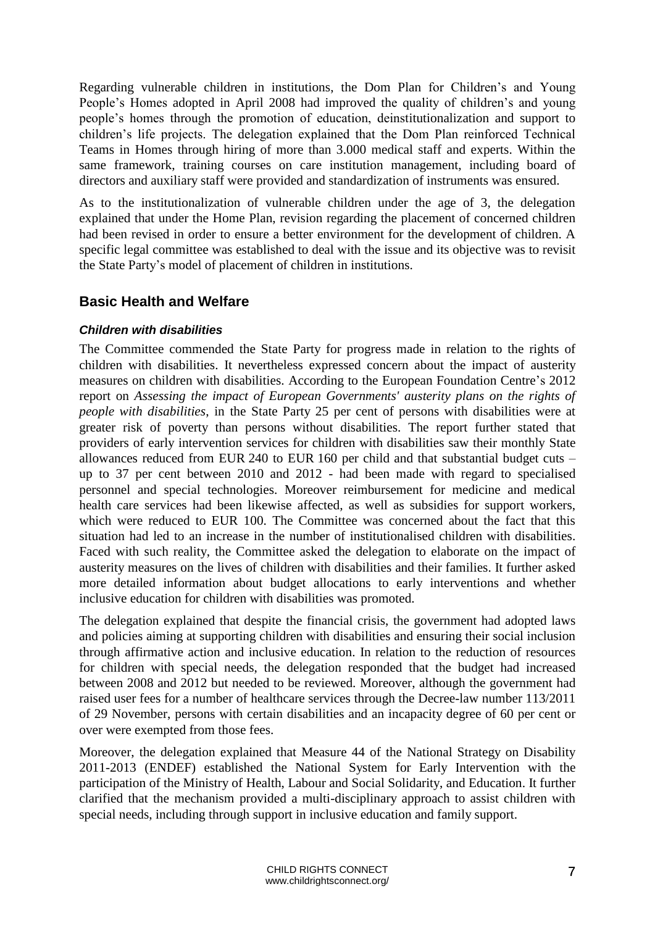Regarding vulnerable children in institutions, the Dom Plan for Children's and Young People's Homes adopted in April 2008 had improved the quality of children's and young people's homes through the promotion of education, deinstitutionalization and support to children's life projects. The delegation explained that the Dom Plan reinforced Technical Teams in Homes through hiring of more than 3.000 medical staff and experts. Within the same framework, training courses on care institution management, including board of directors and auxiliary staff were provided and standardization of instruments was ensured.

As to the institutionalization of vulnerable children under the age of 3, the delegation explained that under the Home Plan, revision regarding the placement of concerned children had been revised in order to ensure a better environment for the development of children. A specific legal committee was established to deal with the issue and its objective was to revisit the State Party's model of placement of children in institutions.

# <span id="page-6-0"></span>**Basic Health and Welfare**

#### *Children with disabilities*

The Committee commended the State Party for progress made in relation to the rights of children with disabilities. It nevertheless expressed concern about the impact of austerity measures on children with disabilities. According to the European Foundation Centre's 2012 report on *Assessing the impact of European Governments' austerity plans on the rights of people with disabilities*, in the State Party 25 per cent of persons with disabilities were at greater risk of poverty than persons without disabilities. The report further stated that providers of early intervention services for children with disabilities saw their monthly State allowances reduced from EUR 240 to EUR 160 per child and that substantial budget cuts – up to 37 per cent between 2010 and 2012 - had been made with regard to specialised personnel and special technologies. Moreover reimbursement for medicine and medical health care services had been likewise affected, as well as subsidies for support workers, which were reduced to EUR 100. The Committee was concerned about the fact that this situation had led to an increase in the number of institutionalised children with disabilities. Faced with such reality, the Committee asked the delegation to elaborate on [the impact of](http://www.europarl.europa.eu/sides/getDoc.do?pubRef=-//EP//TEXT+WQ+E-2013-013883+0+DOC+XML+V0//EN&language=en)  [austerity measures on the lives of children with disabilities](http://www.europarl.europa.eu/sides/getDoc.do?pubRef=-//EP//TEXT+WQ+E-2013-013883+0+DOC+XML+V0//EN&language=en) and their families. It further asked more detailed information about budget allocations to early interventions and whether inclusive education for children with disabilities was promoted.

The delegation explained that despite the financial crisis, the government had adopted laws and policies aiming at supporting children with disabilities and ensuring their social inclusion through affirmative action and inclusive education. In relation to the reduction of resources for children with special needs, the delegation responded that the budget had increased between 2008 and 2012 but needed to be reviewed. Moreover, although the government had raised user fees for a number of healthcare services through the Decree-law number 113/2011 of 29 November, persons with certain disabilities and an incapacity degree of 60 per cent or over were exempted from those fees.

Moreover, the delegation explained that Measure 44 of the National Strategy on Disability 2011-2013 (ENDEF) established the National System for Early Intervention with the participation of the Ministry of Health, Labour and Social Solidarity, and Education. It further clarified that the mechanism provided a multi-disciplinary approach to assist children with special needs, including through support in inclusive education and family support.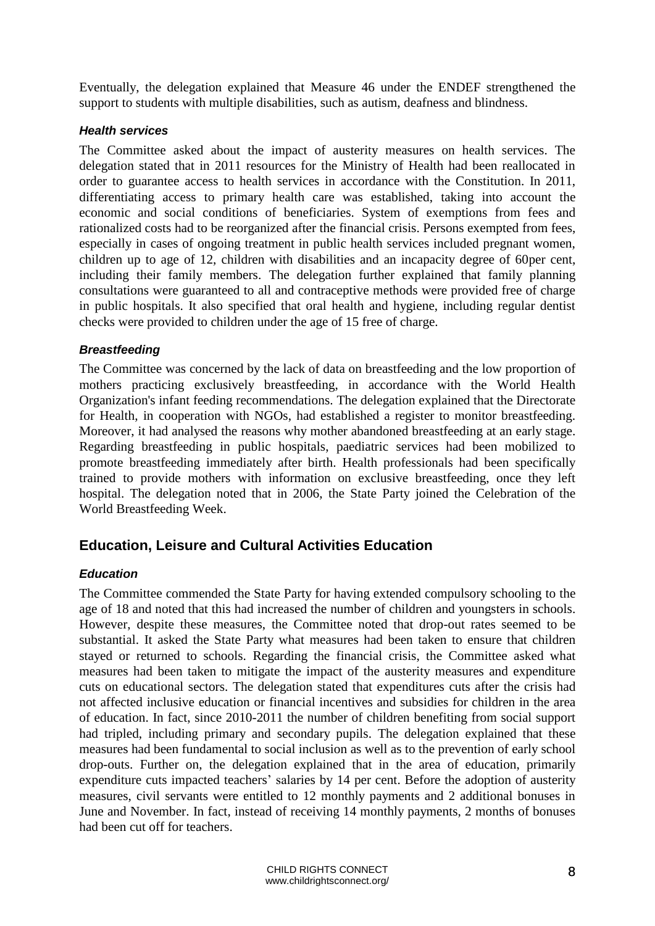Eventually, the delegation explained that Measure 46 under the ENDEF strengthened the support to students with multiple disabilities, such as autism, deafness and blindness.

#### *Health services*

The Committee asked about the impact of austerity measures on health services. The delegation stated that in 2011 resources for the Ministry of Health had been reallocated in order to guarantee access to health services in accordance with the Constitution. In 2011, differentiating access to primary health care was established, taking into account the economic and social conditions of beneficiaries. System of exemptions from fees and rationalized costs had to be reorganized after the financial crisis. Persons exempted from fees, especially in cases of ongoing treatment in public health services included pregnant women, children up to age of 12, children with disabilities and an incapacity degree of 60per cent, including their family members. The delegation further explained that family planning consultations were guaranteed to all and contraceptive methods were provided free of charge in public hospitals. It also specified that oral health and hygiene, including regular dentist checks were provided to children under the age of 15 free of charge.

#### <span id="page-7-0"></span>*Breastfeeding*

The Committee was concerned by the lack of data on breastfeeding and the low proportion of mothers practicing exclusively breastfeeding, in accordance with the World Health Organization's infant feeding recommendations. The delegation explained that the Directorate for Health, in cooperation with NGOs, had established a register to monitor breastfeeding. Moreover, it had analysed the reasons why mother abandoned breastfeeding at an early stage. Regarding breastfeeding in public hospitals, paediatric services had been mobilized to promote breastfeeding immediately after birth. Health professionals had been specifically trained to provide mothers with information on exclusive breastfeeding, once they left hospital. The delegation noted that in 2006, the State Party joined the Celebration of the World Breastfeeding Week.

## **Education, Leisure and Cultural Activities Education**

#### *Education*

The Committee commended the State Party for having extended compulsory schooling to the age of 18 and noted that this had increased the number of children and youngsters in schools. However, despite these measures, the Committee noted that drop-out rates seemed to be substantial. It asked the State Party what measures had been taken to ensure that children stayed or returned to schools. Regarding the financial crisis, the Committee asked what measures had been taken to mitigate the impact of the austerity measures and expenditure cuts on educational sectors. The delegation stated that expenditures cuts after the crisis had not affected inclusive education or financial incentives and subsidies for children in the area of education. In fact, since 2010-2011 the number of children benefiting from social support had tripled, including primary and secondary pupils. The delegation explained that these measures had been fundamental to social inclusion as well as to the prevention of early school drop-outs. Further on, the delegation explained that in the area of education, primarily expenditure cuts impacted teachers' salaries by 14 per cent. Before the adoption of austerity measures, civil servants were entitled to 12 monthly payments and 2 additional bonuses in June and November. In fact, instead of receiving 14 monthly payments, 2 months of bonuses had been cut off for teachers.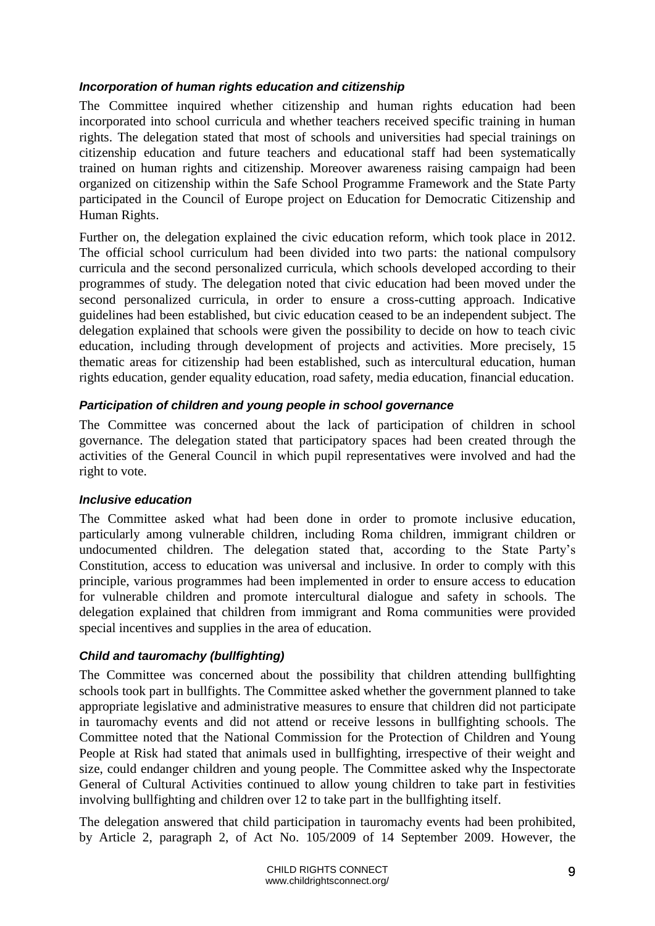#### *Incorporation of human rights education and citizenship*

The Committee inquired whether citizenship and human rights education had been incorporated into school curricula and whether teachers received specific training in human rights. The delegation stated that most of schools and universities had special trainings on citizenship education and future teachers and educational staff had been systematically trained on human rights and citizenship. Moreover awareness raising campaign had been organized on citizenship within the Safe School Programme Framework and the State Party participated in the Council of Europe project on Education for Democratic Citizenship and Human Rights.

Further on, the delegation explained the civic education reform, which took place in 2012. The official school curriculum had been divided into two parts: the national compulsory curricula and the second personalized curricula, which schools developed according to their programmes of study. The delegation noted that civic education had been moved under the second personalized curricula, in order to ensure a cross-cutting approach. Indicative guidelines had been established, but civic education ceased to be an independent subject. The delegation explained that schools were given the possibility to decide on how to teach civic education, including through development of projects and activities. More precisely, 15 thematic areas for citizenship had been established, such as intercultural education, human rights education, gender equality education, road safety, media education, financial education.

## *Participation of children and young people in school governance*

The Committee was concerned about the lack of participation of children in school governance. The delegation stated that participatory spaces had been created through the activities of the General Council in which pupil representatives were involved and had the right to vote.

#### *Inclusive education*

The Committee asked what had been done in order to promote inclusive education, particularly among vulnerable children, including Roma children, immigrant children or undocumented children. The delegation stated that, according to the State Party's Constitution, access to education was universal and inclusive. In order to comply with this principle, various programmes had been implemented in order to ensure access to education for vulnerable children and promote intercultural dialogue and safety in schools. The delegation explained that children from immigrant and Roma communities were provided special incentives and supplies in the area of education.

## *Child and tauromachy (bullfighting)*

The Committee was concerned about the possibility that children attending bullfighting schools took part in bullfights. The Committee asked whether the government planned to take appropriate legislative and administrative measures to ensure that children did not participate in tauromachy events and did not attend or receive lessons in bullfighting schools. The Committee noted that the National Commission for the Protection of Children and Young People at Risk had stated that animals used in bullfighting, irrespective of their weight and size, could endanger children and young people. The Committee asked why the Inspectorate General of Cultural Activities continued to allow young children to take part in festivities involving bullfighting and children over 12 to take part in the bullfighting itself.

The delegation answered that child participation in tauromachy events had been prohibited, by Article 2, paragraph 2, of Act No. 105/2009 of 14 September 2009. However, the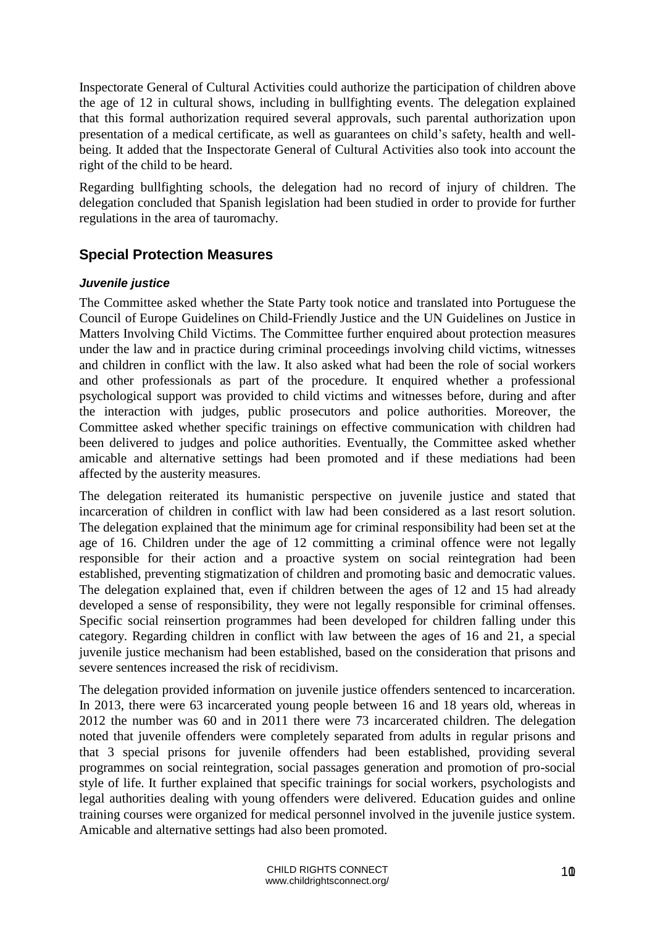Inspectorate General of Cultural Activities could authorize the participation of children above the age of 12 in cultural shows, including in bullfighting events. The delegation explained that this formal authorization required several approvals, such parental authorization upon presentation of a medical certificate, as well as guarantees on child's safety, health and wellbeing. It added that the Inspectorate General of Cultural Activities also took into account the right of the child to be heard.

Regarding bullfighting schools, the delegation had no record of injury of children. The delegation concluded that Spanish legislation had been studied in order to provide for further regulations in the area of tauromachy.

# <span id="page-9-0"></span>**Special Protection Measures**

#### *Juvenile justice*

The Committee asked whether the State Party took notice and translated into Portuguese the Council of Europe Guidelines on Child-Friendly Justice and the UN Guidelines on Justice in Matters Involving Child Victims. The Committee further enquired about protection measures under the law and in practice during criminal proceedings involving child victims, witnesses and children in conflict with the law. It also asked what had been the role of social workers and other professionals as part of the procedure. It enquired whether a professional psychological support was provided to child victims and witnesses before, during and after the interaction with judges, public prosecutors and police authorities. Moreover, the Committee asked whether specific trainings on effective communication with children had been delivered to judges and police authorities. Eventually, the Committee asked whether amicable and alternative settings had been promoted and if these mediations had been affected by the austerity measures.

The delegation reiterated its humanistic perspective on juvenile justice and stated that incarceration of children in conflict with law had been considered as a last resort solution. The delegation explained that the minimum age for criminal responsibility had been set at the age of 16. Children under the age of 12 committing a criminal offence were not legally responsible for their action and a proactive system on social reintegration had been established, preventing stigmatization of children and promoting basic and democratic values. The delegation explained that, even if children between the ages of 12 and 15 had already developed a sense of responsibility, they were not legally responsible for criminal offenses. Specific social reinsertion programmes had been developed for children falling under this category. Regarding children in conflict with law between the ages of 16 and 21, a special juvenile justice mechanism had been established, based on the consideration that prisons and severe sentences increased the risk of recidivism.

The delegation provided information on juvenile justice offenders sentenced to incarceration. In 2013, there were 63 incarcerated young people between 16 and 18 years old, whereas in 2012 the number was 60 and in 2011 there were 73 incarcerated children. The delegation noted that juvenile offenders were completely separated from adults in regular prisons and that 3 special prisons for juvenile offenders had been established, providing several programmes on social reintegration, social passages generation and promotion of pro-social style of life. It further explained that specific trainings for social workers, psychologists and legal authorities dealing with young offenders were delivered. Education guides and online training courses were organized for medical personnel involved in the juvenile justice system. Amicable and alternative settings had also been promoted.